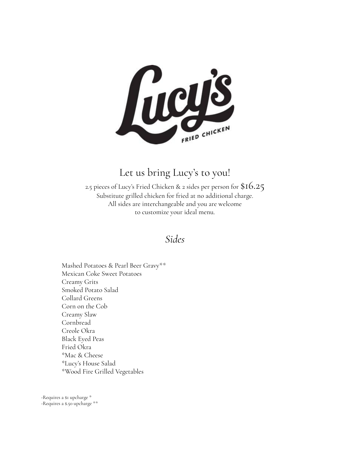

# Let us bring Lucy 's to you!

2.5 pieces of Lucy's Fried Chicken & <sup>2</sup> sides per person for \$16.25 Substitute grilled chicken for fried at no additional charge. All sides are interchangeable and you are welcome to customize your ideal menu.

### *Sides*

Mashed Potatoes & Pearl Beer Gravy\*\* Mexican Coke Sweet Potatoes Creamy Grits Smoked Potato Salad Collard Greens Corn on the Cob Creamy Slaw Cornbread Creole Okra Black Eyed Peas Fried Okra \*Mac & Cheese \*Lucy's House Salad \*Wood Fire Grilled Vegetables

-Requires a \$1 upcharge \* -Requires a \$.50 upcharge \*\*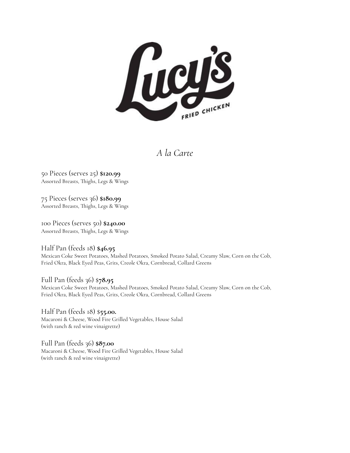

*A la Carte*

50 Pieces (serves 25) **\$120.99** Assorted Breasts, Thighs, Legs & Wings

75 Pieces (serves 36) **\$180.99** Assorted Breasts, Thighs, Legs & Wings

100 Pieces (serves 50) **\$240.00** Assorted Breasts, Thighs, Legs & Wings

Half Pan (feeds 18) **\$46.95** Mexican Coke Sweet Potatoes, Mashed Potatoes, Smoked Potato Salad, Creamy Slaw, Corn on the Cob, Fried Okra, Black Eyed Peas, Grits, Creole Okra, Cornbread, Collard Greens

Full Pan (feeds 36) \$**78.95** Mexican Coke Sweet Potatoes, Mashed Potatoes, Smoked Potato Salad, Creamy Slaw, Corn on the Cob, Fried Okra, Black Eyed Peas, Grits, Creole Okra, Cornbread, Collard Greens

Half Pan (feeds 18) \$**55.00.** Macaroni & Cheese, Wood Fire Grilled Vegetables, House Salad (with ranch & red wine vinaigrette)

Full Pan (feeds 36) **\$87.00** Macaroni & Cheese, Wood Fire Grilled Vegetables, House Salad (with ranch & red wine vinaigrette)